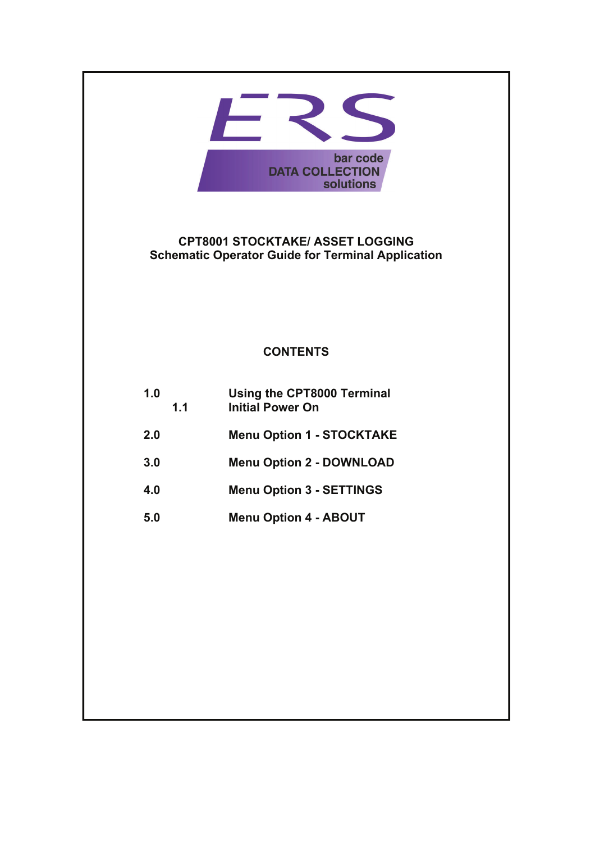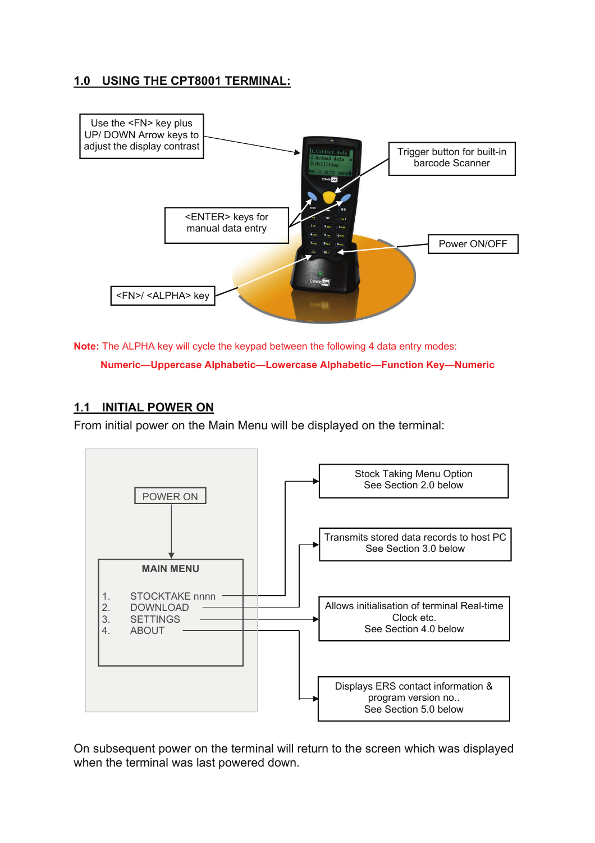### **1.0 USING THE CPT8001 TERMINAL:**



**Note:** The ALPHA key will cycle the keypad between the following 4 data entry modes: **Numeric—Uppercase Alphabetic—Lowercase Alphabetic—Function Key—Numeric** 

#### **1.1 INITIAL POWER ON**

From initial power on the Main Menu will be displayed on the terminal:



On subsequent power on the terminal will return to the screen which was displayed when the terminal was last powered down.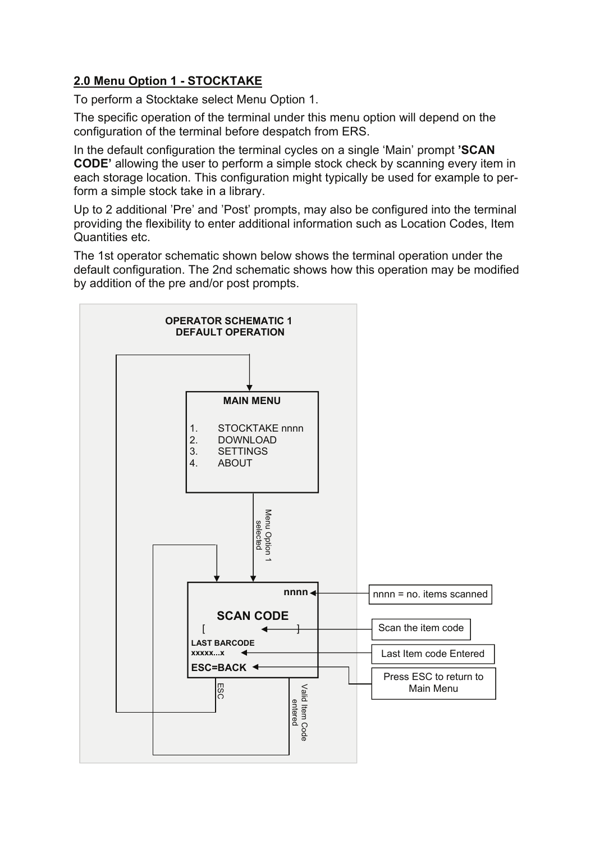## **2.0 Menu Option 1 - STOCKTAKE**

To perform a Stocktake select Menu Option 1.

The specific operation of the terminal under this menu option will depend on the configuration of the terminal before despatch from ERS.

In the default configuration the terminal cycles on a single 'Main' prompt **'SCAN CODE'** allowing the user to perform a simple stock check by scanning every item in each storage location. This configuration might typically be used for example to perform a simple stock take in a library.

Up to 2 additional 'Pre' and 'Post' prompts, may also be configured into the terminal providing the flexibility to enter additional information such as Location Codes, Item Quantities etc.

The 1st operator schematic shown below shows the terminal operation under the default configuration. The 2nd schematic shows how this operation may be modified by addition of the pre and/or post prompts.

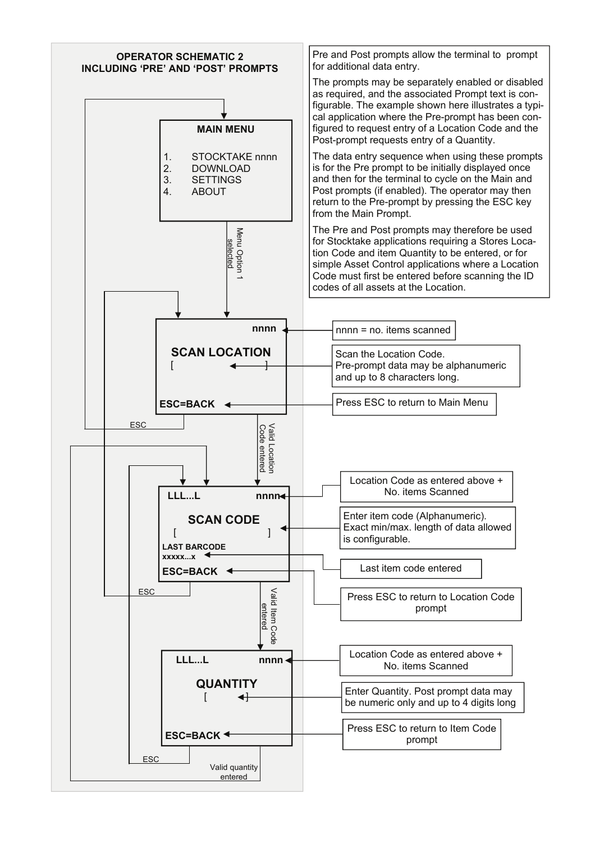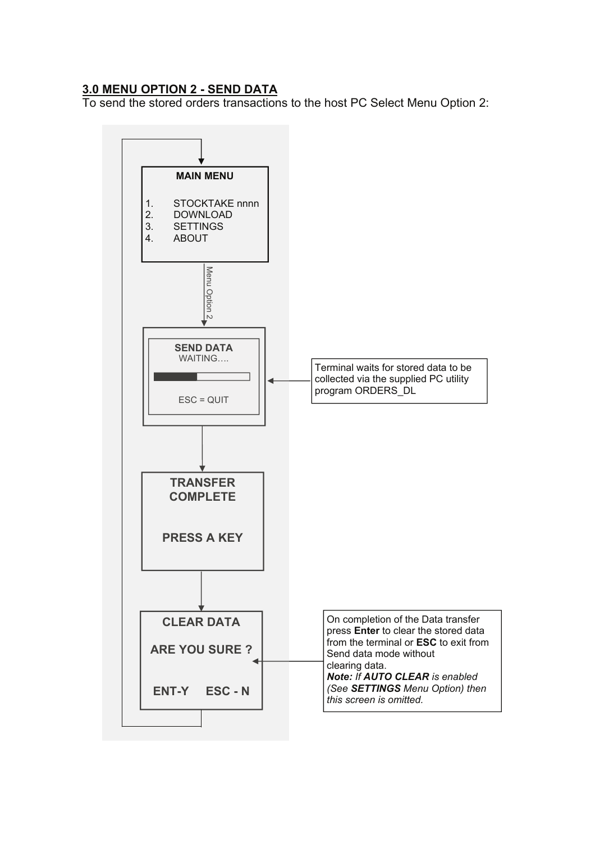#### **3.0 MENU OPTION 2 - SEND DATA**

To send the stored orders transactions to the host PC Select Menu Option 2:

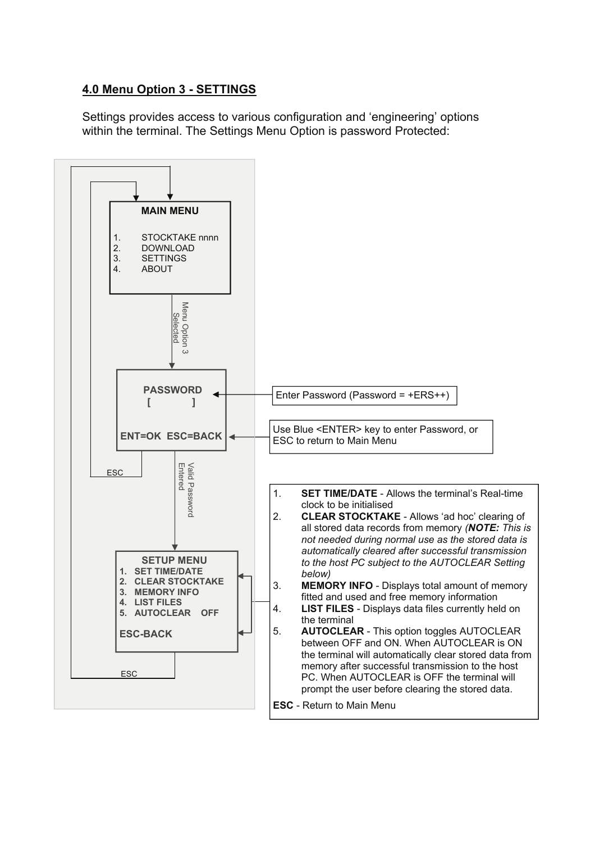#### **4.0 Menu Option 3 - SETTINGS**

Settings provides access to various configuration and 'engineering' options within the terminal. The Settings Menu Option is password Protected: